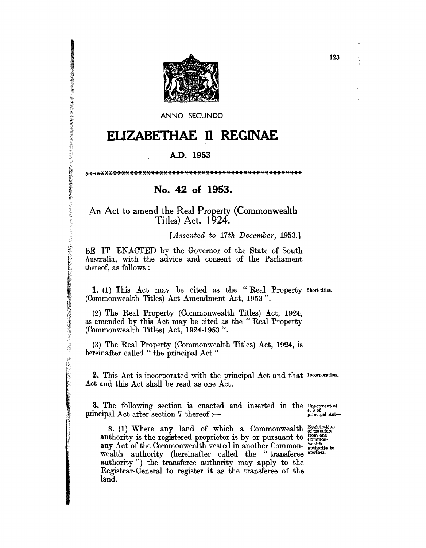

ANNO SECUNDO

## ELIZABETHAE II REGINAE

## A.D. 1953

## No. 42 of 1953.

## An Act to amend the Real Property (Commonwealth Titles) Act, 1924.

**議員関連を対応することができることが、このことが、このことによって、このことを実施していることが、このこのことによって、このこのことによって、このことを実施していることが、このことを実施していることになっていることになっていることになっていることになっていることになっていることになっていることになっていることになっていることになっていることになっていることが、このこと** 

[Assented to 17th December, 1953.]

BE IT ENACTED by the Governor of the State of South Australia, with the advice and consent of the Parliament thereof, as follows:

1. (1) This Act may be cited as the "Real Property short titles. (Commonwealth Titles) Act Amendment Act, 1953".

(2) The Real Property (Commonwealth Titles) Act, 1924, as amended by this Act may be cited as the "Real Property (Commonwealth Titles) Act, 1924-1953".

(3) The Real Property (Commonwealth Titles) Act, 1924, is hereinafter called "the principal Act".

2. This Act is incorporated with the principal Act and that Incorporation.<br>Act and this Act shall be read as one Act.

3. The following section is enacted and inserted in the Enactment of principal Act after section 7 thereof :principal Act-

8. (1) Where any land of which a Commonwealth  $_{\text{of transfer}}^{\text{Registration}}$ <br>authority is the registered proprietor is by or pursuant to  $_{\text{common}}^{\text{from one}}$ <br>any Act of the Commonwealth vested in another Common- $_{\text{authority}}^{\text{from one}}$ <br>wealth aut land.